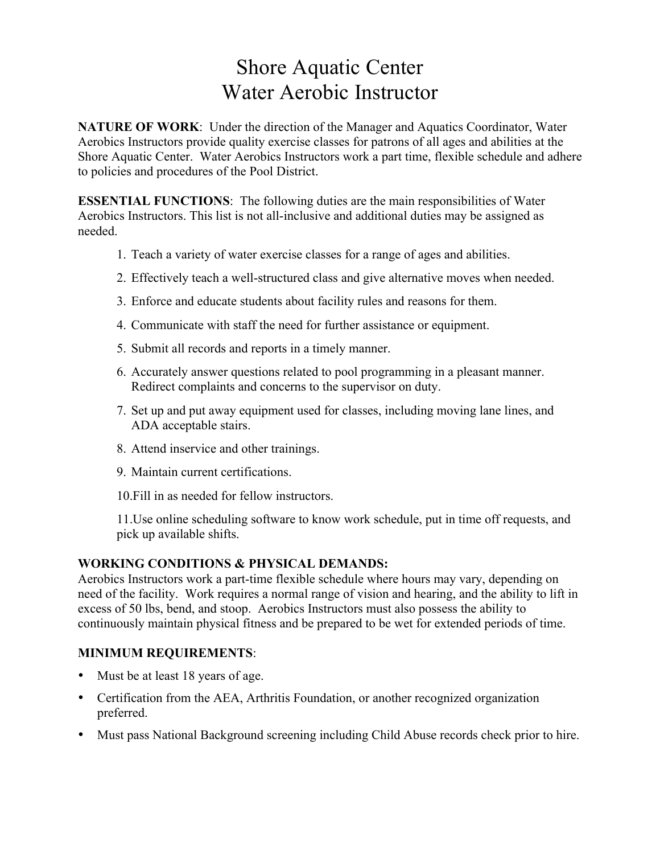# Shore Aquatic Center Water Aerobic Instructor

**NATURE OF WORK**: Under the direction of the Manager and Aquatics Coordinator, Water Aerobics Instructors provide quality exercise classes for patrons of all ages and abilities at the Shore Aquatic Center. Water Aerobics Instructors work a part time, flexible schedule and adhere to policies and procedures of the Pool District.

**ESSENTIAL FUNCTIONS**: The following duties are the main responsibilities of Water Aerobics Instructors. This list is not all-inclusive and additional duties may be assigned as needed.

- 1. Teach a variety of water exercise classes for a range of ages and abilities.
- 2. Effectively teach a well-structured class and give alternative moves when needed.
- 3. Enforce and educate students about facility rules and reasons for them.
- 4. Communicate with staff the need for further assistance or equipment.
- 5. Submit all records and reports in a timely manner.
- 6. Accurately answer questions related to pool programming in a pleasant manner. Redirect complaints and concerns to the supervisor on duty.
- 7. Set up and put away equipment used for classes, including moving lane lines, and ADA acceptable stairs.
- 8. Attend inservice and other trainings.
- 9. Maintain current certifications.
- 10.Fill in as needed for fellow instructors.

11.Use online scheduling software to know work schedule, put in time off requests, and pick up available shifts.

## **WORKING CONDITIONS & PHYSICAL DEMANDS:**

Aerobics Instructors work a part-time flexible schedule where hours may vary, depending on need of the facility. Work requires a normal range of vision and hearing, and the ability to lift in excess of 50 lbs, bend, and stoop. Aerobics Instructors must also possess the ability to continuously maintain physical fitness and be prepared to be wet for extended periods of time.

## **MINIMUM REQUIREMENTS**:

- Must be at least 18 years of age.
- Certification from the AEA, Arthritis Foundation, or another recognized organization preferred.
- Must pass National Background screening including Child Abuse records check prior to hire.